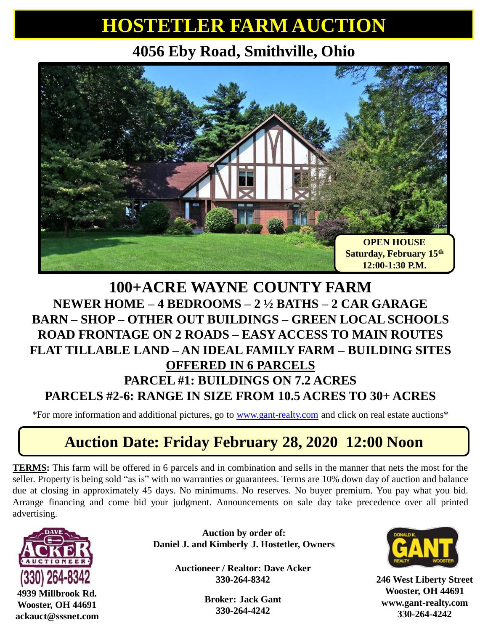## **HOSTETLER FARM AUCTION**

### **4056 Eby Road, Smithville, Ohio**



#### **100+ACRE WAYNE COUNTY FARM NEWER HOME – 4 BEDROOMS – 2 ½ BATHS – 2 CAR GARAGE BARN – SHOP – OTHER OUT BUILDINGS – GREEN LOCAL SCHOOLS ROAD FRONTAGE ON 2 ROADS – EASY ACCESS TO MAIN ROUTES FLAT TILLABLE LAND – AN IDEAL FAMILY FARM – BUILDING SITES OFFERED IN 6 PARCELS PARCEL #1: BUILDINGS ON 7.2 ACRES PARCELS #2-6: RANGE IN SIZE FROM 10.5 ACRES TO 30+ ACRES**

\*For more information and additional pictures, go to [www.gant-realty.com](http://www.gant-realty.com/) and click on real estate auctions\*

#### **Auction Date: Friday February 28, 2020 12:00 Noon**

**TERMS:** This farm will be offered in 6 parcels and in combination and sells in the manner that nets the most for the seller. Property is being sold "as is" with no warranties or guarantees. Terms are 10% down day of auction and balance due at closing in approximately 45 days. No minimums. No reserves. No buyer premium. You pay what you bid. Arrange financing and come bid your judgment. Announcements on sale day take precedence over all printed advertising.



**4939 Millbrook Rd. Wooster, OH 44691 ackauct@sssnet.com**

**Auction by order of: Daniel J. and Kimberly J. Hostetler, Owners**

> **Auctioneer / Realtor: Dave Acker 330-264-8342**

> > **Broker: Jack Gant 330-264-4242**



**246 West Liberty Street Wooster, OH 44691 www.gant-realty.com 330-264-4242**